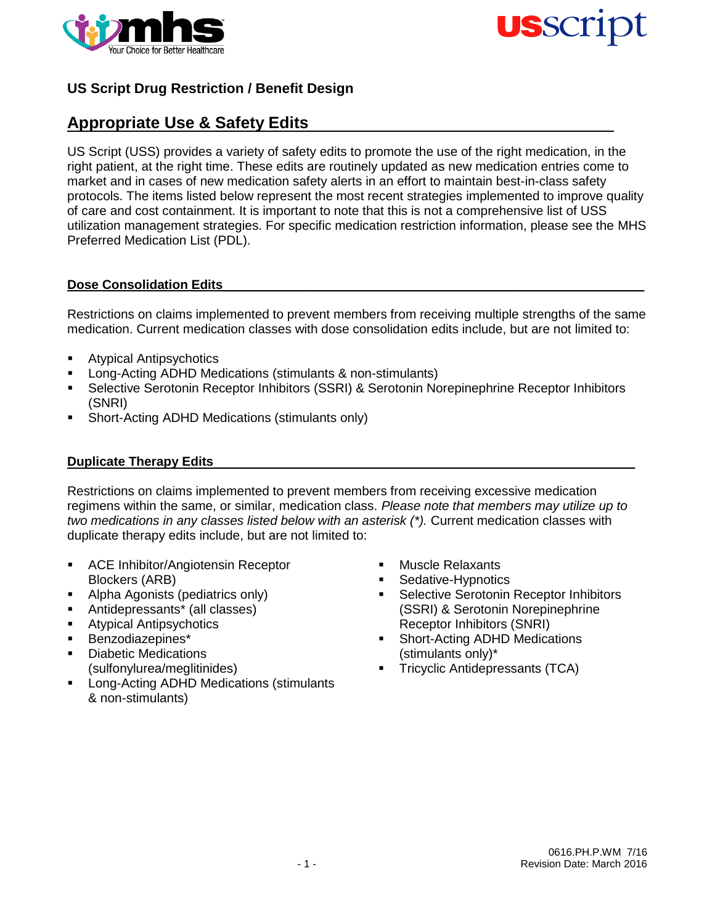



# **Appropriate Use & Safety Edits**

US Script (USS) provides a variety of safety edits to promote the use of the right medication, in the right patient, at the right time. These edits are routinely updated as new medication entries come to market and in cases of new medication safety alerts in an effort to maintain best-in-class safety protocols. The items listed below represent the most recent strategies implemented to improve quality of care and cost containment. It is important to note that this is not a comprehensive list of USS utilization management strategies. For specific medication restriction information, please see the MHS Preferred Medication List (PDL).

### Dose Consolidation Edits

Restrictions on claims implemented to prevent members from receiving multiple strengths of the same medication. Current medication classes with dose consolidation edits include, but are not limited to:

- **Atypical Antipsychotics**
- Long-Acting ADHD Medications (stimulants & non-stimulants)
- Selective Serotonin Receptor Inhibitors (SSRI) & Serotonin Norepinephrine Receptor Inhibitors (SNRI)
- Short-Acting ADHD Medications (stimulants only)

#### **Duplicate Therapy Edits\_**

Restrictions on claims implemented to prevent members from receiving excessive medication regimens within the same, or similar, medication class. *Please note that members may utilize up to two medications in any classes listed below with an asterisk (\*).* Current medication classes with duplicate therapy edits include, but are not limited to:

- **ACE Inhibitor/Angiotensin Receptor** Blockers (ARB)
- Alpha Agonists (pediatrics only)
- Antidepressants\* (all classes)
- **Atypical Antipsychotics**
- Benzodiazepines\*
- **Diabetic Medications** (sulfonylurea/meglitinides)
- **-** Long-Acting ADHD Medications (stimulants & non-stimulants)
- **Muscle Relaxants**
- Sedative-Hypnotics
- Selective Serotonin Receptor Inhibitors (SSRI) & Serotonin Norepinephrine Receptor Inhibitors (SNRI)
- **Short-Acting ADHD Medications** (stimulants only)\*
- Tricyclic Antidepressants (TCA)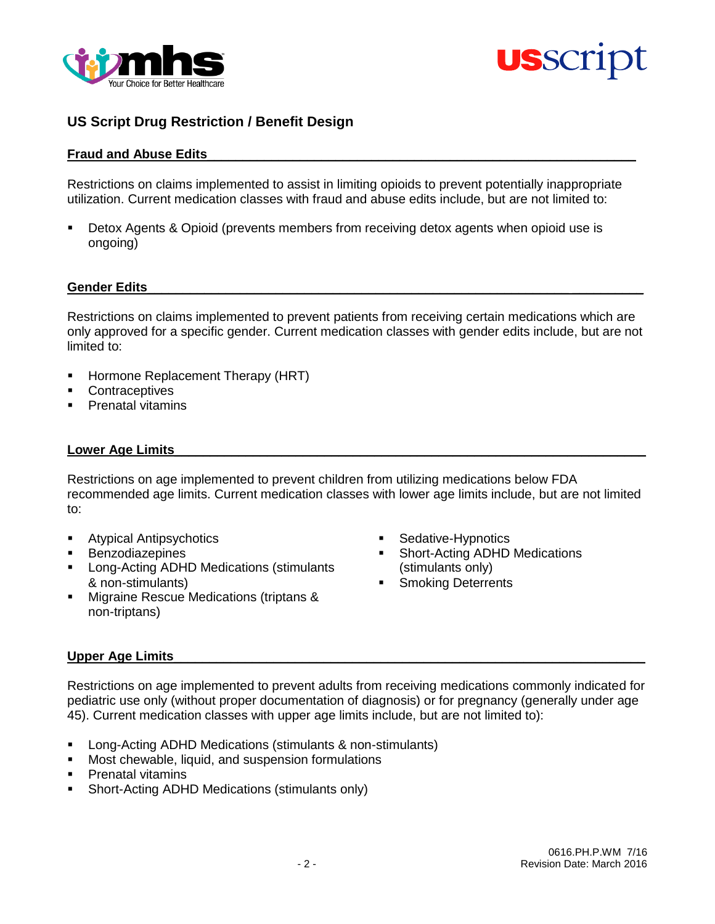



#### **Fraud and Abuse Edits**\_\_\_\_\_\_\_\_\_\_\_\_\_\_\_\_\_\_\_\_\_\_\_\_\_\_\_\_\_\_\_\_\_\_\_\_\_\_\_\_\_\_\_\_\_\_\_\_\_\_\_\_\_\_\_\_\_\_\_\_

Restrictions on claims implemented to assist in limiting opioids to prevent potentially inappropriate utilization. Current medication classes with fraud and abuse edits include, but are not limited to:

 Detox Agents & Opioid (prevents members from receiving detox agents when opioid use is ongoing)

#### Gender Edits

Restrictions on claims implemented to prevent patients from receiving certain medications which are only approved for a specific gender. Current medication classes with gender edits include, but are not limited to:

- Hormone Replacement Therapy (HRT)
- **Contraceptives**
- **Prenatal vitamins**

#### Lower Age Limits

Restrictions on age implemented to prevent children from utilizing medications below FDA recommended age limits. Current medication classes with lower age limits include, but are not limited to:

- **Atypical Antipsychotics**
- **Benzodiazepines**
- **Long-Acting ADHD Medications (stimulants)** & non-stimulants)
- **Migraine Rescue Medications (triptans &** non-triptans)
- **Sedative-Hypnotics**
- Short-Acting ADHD Medications (stimulants only)
- Smoking Deterrents

#### Upper Age Limits

Restrictions on age implemented to prevent adults from receiving medications commonly indicated for pediatric use only (without proper documentation of diagnosis) or for pregnancy (generally under age 45). Current medication classes with upper age limits include, but are not limited to):

- Long-Acting ADHD Medications (stimulants & non-stimulants)
- **Most chewable, liquid, and suspension formulations**
- Prenatal vitamins
- **Short-Acting ADHD Medications (stimulants only)**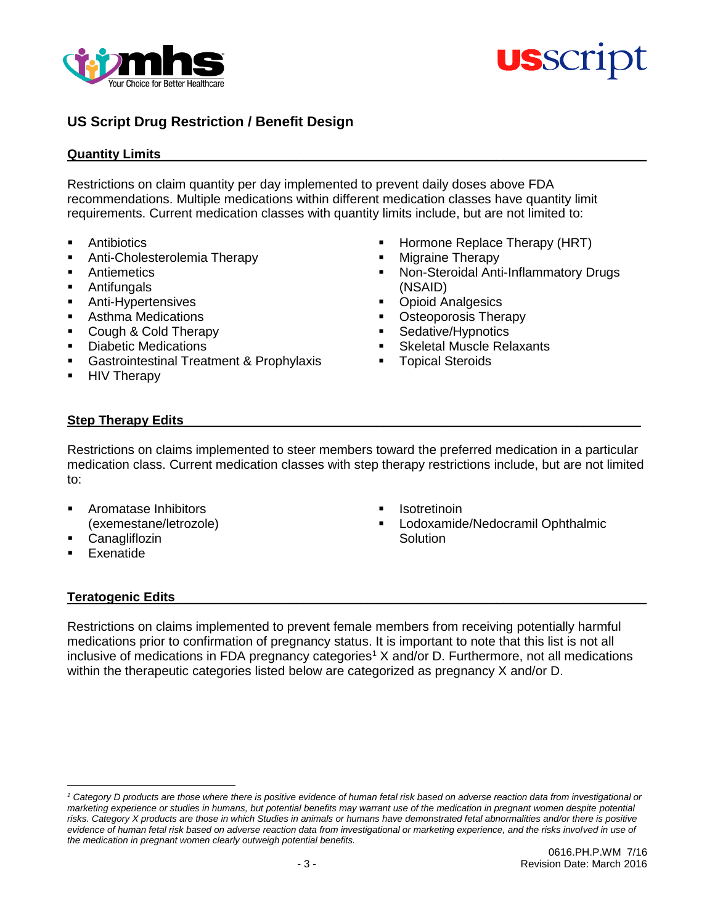



#### **Quantity Limits**

Restrictions on claim quantity per day implemented to prevent daily doses above FDA recommendations. Multiple medications within different medication classes have quantity limit requirements. Current medication classes with quantity limits include, but are not limited to:

- **Antibiotics**
- **Anti-Cholesterolemia Therapy**
- Antiemetics
- Antifungals
- **Anti-Hypertensives**
- Asthma Medications
- Cough & Cold Therapy
- **-** Diabetic Medications
- Gastrointestinal Treatment & Prophylaxis
- HIV Therapy
- Hormone Replace Therapy (HRT)
- Migraine Therapy
- Non-Steroidal Anti-Inflammatory Drugs (NSAID)
- Opioid Analgesics
- **Osteoporosis Therapy**
- Sedative/Hypnotics
- Skeletal Muscle Relaxants
- Topical Steroids

### Step Therapy Edits

Restrictions on claims implemented to steer members toward the preferred medication in a particular medication class. Current medication classes with step therapy restrictions include, but are not limited to:

- Aromatase Inhibitors (exemestane/letrozole)
- **Canagliflozin**
- Exenatide

 $\overline{a}$ 

- **Isotretinoin**
- Lodoxamide/Nedocramil Ophthalmic **Solution**

#### **Teratogenic Edits**

Restrictions on claims implemented to prevent female members from receiving potentially harmful medications prior to confirmation of pregnancy status. It is important to note that this list is not all inclusive of medications in FDA pregnancy categories<sup>1</sup> X and/or D. Furthermore, not all medications within the therapeutic categories listed below are categorized as pregnancy X and/or D.

*<sup>1</sup> Category D products are those where there is positive evidence of human fetal risk based on adverse reaction data from investigational or marketing experience or studies in humans, but potential benefits may warrant use of the medication in pregnant women despite potential*  risks. Category X products are those in which Studies in animals or humans have demonstrated fetal abnormalities and/or there is positive *evidence of human fetal risk based on adverse reaction data from investigational or marketing experience, and the risks involved in use of the medication in pregnant women clearly outweigh potential benefits.*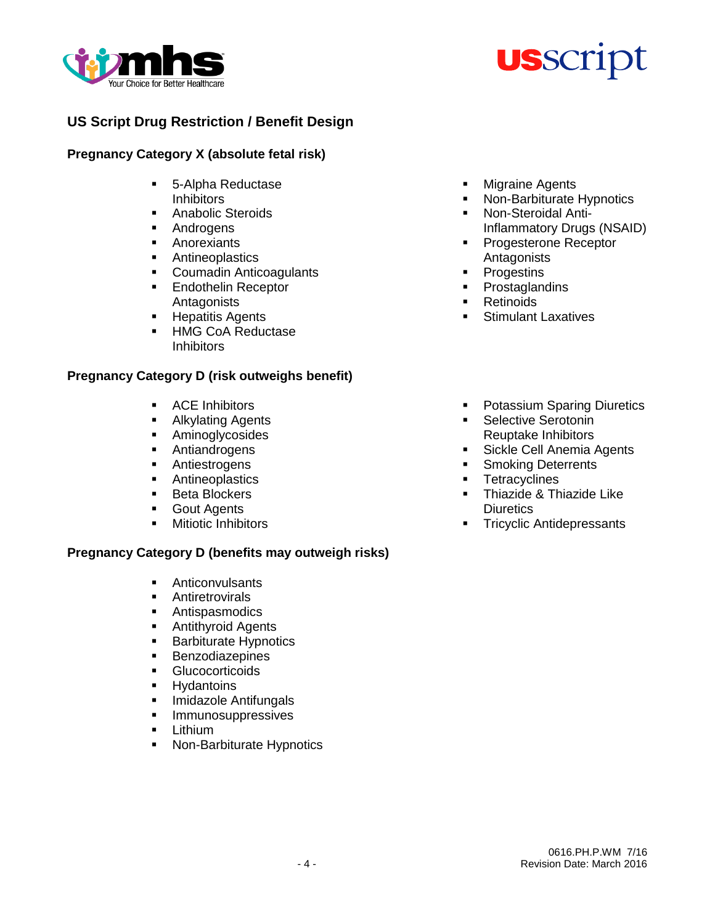



### **Pregnancy Category X (absolute fetal risk)**

- 5-Alpha Reductase **Inhibitors**
- Anabolic Steroids
- **Androgens**
- **Anorexiants**
- **Antineoplastics**
- **Coumadin Anticoagulants**
- **Endothelin Receptor Antagonists**
- **Hepatitis Agents**
- **HMG CoA Reductase Inhibitors**

### **Pregnancy Category D (risk outweighs benefit)**

- **ACE Inhibitors**
- **Alkylating Agents**
- **Aminoglycosides**
- **Antiandrogens**
- **Antiestrogens**
- **Antineoplastics**
- **Beta Blockers**
- **Gout Agents**
- **Nitiotic Inhibitors**

### **Pregnancy Category D (benefits may outweigh risks)**

- **Anticonvulsants**
- **Antiretrovirals**
- Antispasmodics
- **Antithyroid Agents**
- **Barbiturate Hypnotics**
- **Benzodiazepines**
- **Glucocorticoids**
- **Hydantoins**
- **Imidazole Antifungals**
- **Immunosuppressives**
- **E** Lithium
- **Non-Barbiturate Hypnotics**
- **Nigraine Agents**
- **Non-Barbiturate Hypnotics**
- Non-Steroidal Anti-Inflammatory Drugs (NSAID)
- **Progesterone Receptor Antagonists**
- **Progestins**
- Prostaglandins
- Retinoids
- **Stimulant Laxatives**
- **Potassium Sparing Diuretics**
- **Selective Serotonin** Reuptake Inhibitors
- **Sickle Cell Anemia Agents**
- **Smoking Deterrents**
- **Tetracyclines**
- **Thiazide & Thiazide Like Diuretics**
- **Tricyclic Antidepressants**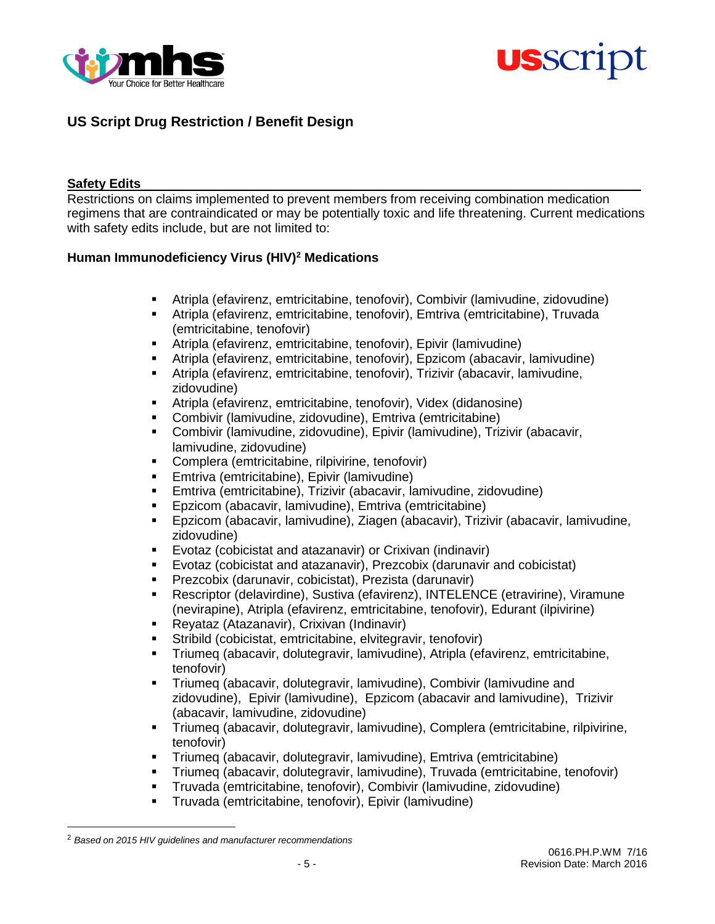



#### Safety Edits

Restrictions on claims implemented to prevent members from receiving combination medication regimens that are contraindicated or may be potentially toxic and life threatening. Current medications with safety edits include, but are not limited to:

### **Human Immunodeficiency Virus (HIV)<sup>2</sup> Medications**

- Atripla (efavirenz, emtricitabine, tenofovir), Combivir (lamivudine, zidovudine)
- Atripla (efavirenz, emtricitabine, tenofovir), Emtriva (emtricitabine), Truvada (emtricitabine, tenofovir)
- Atripla (efavirenz, emtricitabine, tenofovir), Epivir (lamivudine)
- Atripla (efavirenz, emtricitabine, tenofovir), Epzicom (abacavir, lamivudine)
- Atripla (efavirenz, emtricitabine, tenofovir), Trizivir (abacavir, lamivudine, zidovudine)
- Atripla (efavirenz, emtricitabine, tenofovir), Videx (didanosine)
- Combivir (lamivudine, zidovudine), Emtriva (emtricitabine)
- Combivir (lamivudine, zidovudine), Epivir (lamivudine), Trizivir (abacavir, lamivudine, zidovudine)
- **Complera (emtricitabine, rilpivirine, tenofovir)**
- **Emtriva (emtricitabine), Epivir (lamivudine)**
- Emtriva (emtricitabine), Trizivir (abacavir, lamivudine, zidovudine)
- Epzicom (abacavir, lamivudine), Emtriva (emtricitabine)
- Epzicom (abacavir, lamivudine), Ziagen (abacavir), Trizivir (abacavir, lamivudine, zidovudine)
- Evotaz (cobicistat and atazanavir) or Crixivan (indinavir)
- Evotaz (cobicistat and atazanavir), Prezcobix (darunavir and cobicistat)
- Prezcobix (darunavir, cobicistat), Prezista (darunavir)
- Rescriptor (delavirdine), Sustiva (efavirenz), INTELENCE (etravirine), Viramune (nevirapine), Atripla (efavirenz, emtricitabine, tenofovir), Edurant (ilpivirine)
- Reyataz (Atazanavir), Crixivan (Indinavir)
- Stribild (cobicistat, emtricitabine, elvitegravir, tenofovir)
- Triumeq (abacavir, dolutegravir, lamivudine), Atripla (efavirenz, emtricitabine, tenofovir)
- Triumeq (abacavir, dolutegravir, lamivudine), Combivir (lamivudine and zidovudine), Epivir (lamivudine), Epzicom (abacavir and lamivudine), Trizivir (abacavir, lamivudine, zidovudine)
- Triumeq (abacavir, dolutegravir, lamivudine), Complera (emtricitabine, rilpivirine, tenofovir)
- Triumeq (abacavir, dolutegravir, lamivudine), Emtriva (emtricitabine)
- Triumeq (abacavir, dolutegravir, lamivudine), Truvada (emtricitabine, tenofovir)
- Truvada (emtricitabine, tenofovir), Combivir (lamivudine, zidovudine)
- Truvada (emtricitabine, tenofovir), Epivir (lamivudine)

 $\overline{a}$ 

<sup>2</sup> *Based on 2015 HIV guidelines and manufacturer recommendations*